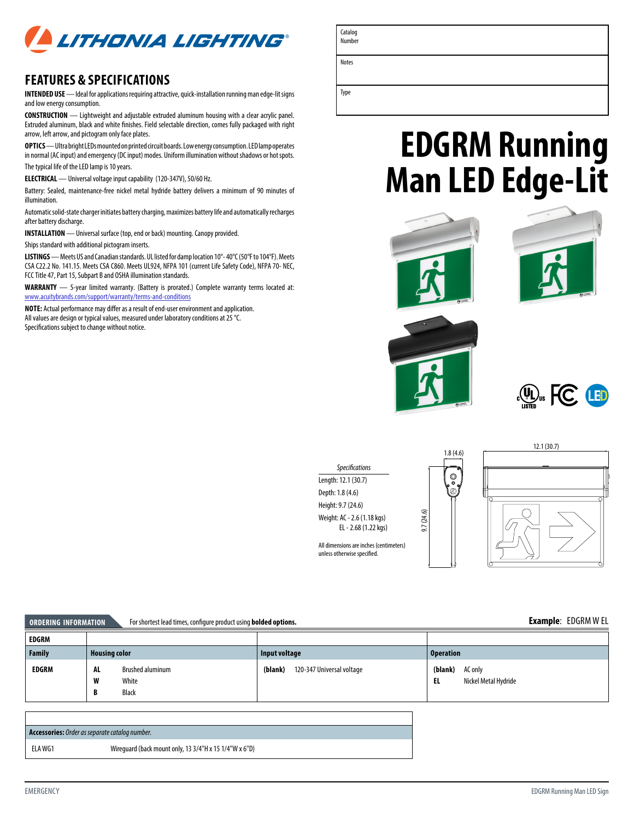

## **FEATURES & SPECIFICATIONS**

**INTENDED USE** — Ideal for applications requiring attractive, quick-installation running man edge-lit signs and low energy consumption.

**CONSTRUCTION** — Lightweight and adjustable extruded aluminum housing with a clear acrylic panel. Extruded aluminum, black and white finishes. Field selectable direction, comes fully packaged with right arrow, left arrow, and pictogram only face plates.

**OPTICS** — Ultra bright LEDs mounted on printed circuit boards. Low energy consumption. LED lamp operates in normal (AC input) and emergency (DC input) modes. Uniform illumination without shadows or hot spots. The typical life of the LED lamp is 10 years.

**ELECTRICAL** — Universal voltage input capability (120-347V), 50/60 Hz.

Battery: Sealed, maintenance-free nickel metal hydride battery delivers a minimum of 90 minutes of illumination.

Automatic solid-state charger initiates battery charging, maximizes battery life and automatically recharges after battery discharge.

**INSTALLATION** — Universal surface (top, end or back) mounting. Canopy provided.

Ships standard with additional pictogram inserts.

**LISTINGS** — Meets US and Canadian standards. UL listed for damp location 10°- 40°C (50°F to 104°F). Meets CSA C22.2 No. 141.15. Meets CSA C860. Meets UL924, NFPA 101 (current Life Safety Code), NFPA 70- NEC, FCC Title 47, Part 15, Subpart B and OSHA illumination standards.

**WARRANTY** — 5-year limited warranty. (Battery is prorated.) Complete warranty terms located at: [www.acuitybrands.com/support/warranty/terms-and-conditions](http://www.acuitybrands.com/support/warranty/terms-and-conditions)

**NOTE:** Actual performance may differ as a result of end-user environment and application. All values are design or typical values, measured under laboratory conditions at 25 °C. Specifications subject to change without notice.

| Number       |
|--------------|
| <b>Notes</b> |
|              |

Catalog

Type

## **EDGRM Running Man LED Edge-Lit**









| <b>ORDERING INFORMATION</b> | For shortest lead times, configure product using <b>bolded options.</b> |                                      | <b>Example: EDGRMWEL</b>                         |
|-----------------------------|-------------------------------------------------------------------------|--------------------------------------|--------------------------------------------------|
| EDGRM                       |                                                                         |                                      |                                                  |
| <b>Family</b>               | <b>Housing color</b>                                                    | Input voltage                        | <b>Operation</b>                                 |
| <b>EDGRM</b>                | AL<br><b>Brushed aluminum</b><br>W<br>White                             | 120-347 Universal voltage<br>(blank) | (blank)<br>AC only<br>Nickel Metal Hydride<br>EL |

| <b>Accessories:</b> Order as separate catalog number. |                                                        |
|-------------------------------------------------------|--------------------------------------------------------|
| ELA WG1                                               | Wirequard (back mount only, 13 3/4"H x 15 1/4"W x 6"D) |

**B** Black